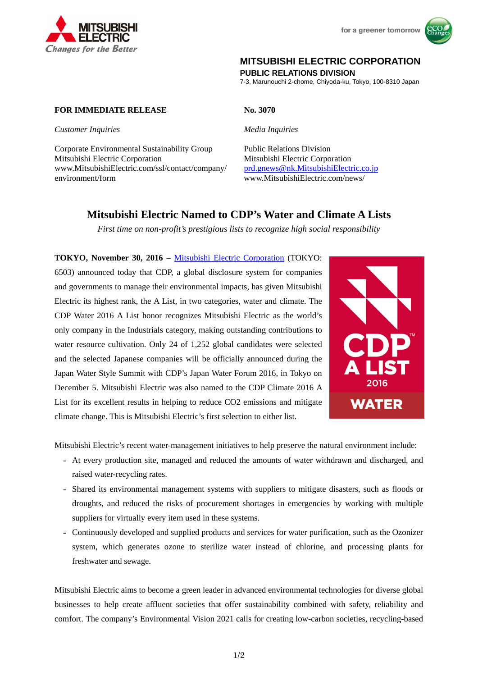



## **MITSUBISHI ELECTRIC CORPORATION**

**PUBLIC RELATIONS DIVISION** 

7-3, Marunouchi 2-chome, Chiyoda-ku, Tokyo, 100-8310 Japan

## **FOR IMMEDIATE RELEASE No. 3070**

*Customer Inquiries Media Inquiries* 

Corporate Environmental Sustainability Group Public Relations Division Mitsubishi Electric Corporation Mitsubishi Electric Corporation www.MitsubishiElectric.com/ssl/contact/company/ prd.gnews@nk.MitsubishiElectric.co.jp environment/form www.MitsubishiElectric.com/news/

# **Mitsubishi Electric Named to CDP's Water and Climate A Lists**

*First time on non-profit's prestigious lists to recognize high social responsibility* 

**TOKYO, November 30, 2016** – Mitsubishi Electric Corporation (TOKYO: 6503) announced today that CDP, a global disclosure system for companies and governments to manage their environmental impacts, has given Mitsubishi Electric its highest rank, the A List, in two categories, water and climate. The CDP Water 2016 A List honor recognizes Mitsubishi Electric as the world's only company in the Industrials category, making outstanding contributions to water resource cultivation. Only 24 of 1,252 global candidates were selected and the selected Japanese companies will be officially announced during the Japan Water Style Summit with CDP's Japan Water Forum 2016, in Tokyo on December 5. Mitsubishi Electric was also named to the CDP Climate 2016 A List for its excellent results in helping to reduce CO2 emissions and mitigate climate change. This is Mitsubishi Electric's first selection to either list.



Mitsubishi Electric's recent water-management initiatives to help preserve the natural environment include:

- At every production site, managed and reduced the amounts of water withdrawn and discharged, and raised water-recycling rates.
- Shared its environmental management systems with suppliers to mitigate disasters, such as floods or droughts, and reduced the risks of procurement shortages in emergencies by working with multiple suppliers for virtually every item used in these systems.
- Continuously developed and supplied products and services for water purification, such as the Ozonizer system, which generates ozone to sterilize water instead of chlorine, and processing plants for freshwater and sewage.

Mitsubishi Electric aims to become a green leader in advanced environmental technologies for diverse global businesses to help create affluent societies that offer sustainability combined with safety, reliability and comfort. The company's Environmental Vision 2021 calls for creating low-carbon societies, recycling-based